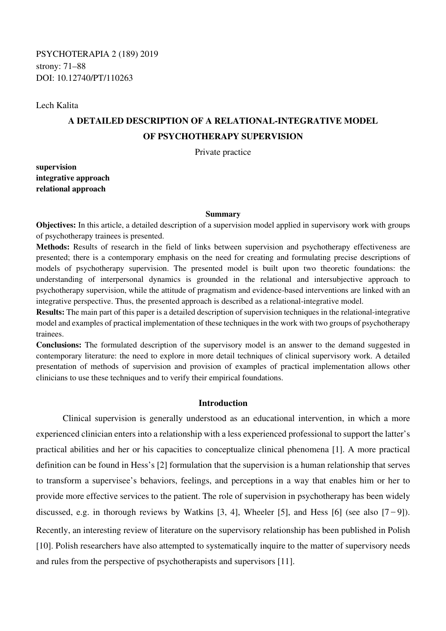Lech Kalita

# **A DETAILED DESCRIPTION OF A RELATIONAL-INTEGRATIVE MODEL OF PSYCHOTHERAPY SUPERVISION**

Private practice

**supervision integrative approach relational approach** 

#### **Summary**

**Objectives:** In this article, a detailed description of a supervision model applied in supervisory work with groups of psychotherapy trainees is presented.

**Methods:** Results of research in the field of links between supervision and psychotherapy effectiveness are presented; there is a contemporary emphasis on the need for creating and formulating precise descriptions of models of psychotherapy supervision. The presented model is built upon two theoretic foundations: the understanding of interpersonal dynamics is grounded in the relational and intersubjective approach to psychotherapy supervision, while the attitude of pragmatism and evidence-based interventions are linked with an integrative perspective. Thus, the presented approach is described as a relational-integrative model.

**Results:** The main part of this paper is a detailed description of supervision techniques in the relational-integrative model and examples of practical implementation of these techniques in the work with two groups of psychotherapy trainees.

**Conclusions:** The formulated description of the supervisory model is an answer to the demand suggested in contemporary literature: the need to explore in more detail techniques of clinical supervisory work. A detailed presentation of methods of supervision and provision of examples of practical implementation allows other clinicians to use these techniques and to verify their empirical foundations.

# **Introduction**

 Clinical supervision is generally understood as an educational intervention, in which a more experienced clinician enters into a relationship with a less experienced professional to support the latter's practical abilities and her or his capacities to conceptualize clinical phenomena [1]. A more practical definition can be found in Hess's [2] formulation that the supervision is a human relationship that serves to transform a supervisee's behaviors, feelings, and perceptions in a way that enables him or her to provide more effective services to the patient. The role of supervision in psychotherapy has been widely discussed, e.g. in thorough reviews by Watkins [3, 4], Wheeler [5], and Hess [6] (see also [7−9]). Recently, an interesting review of literature on the supervisory relationship has been published in Polish [10]. Polish researchers have also attempted to systematically inquire to the matter of supervisory needs and rules from the perspective of psychotherapists and supervisors [11].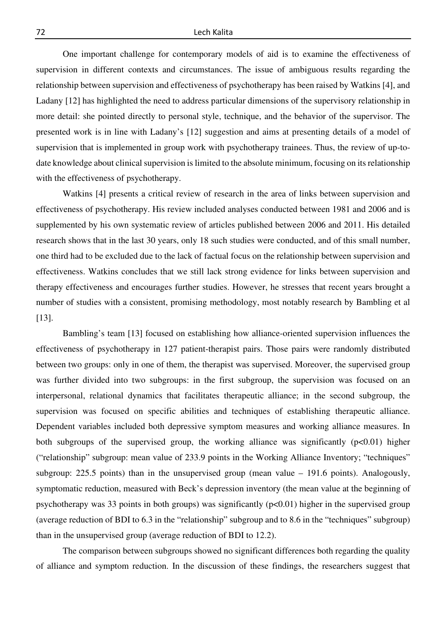One important challenge for contemporary models of aid is to examine the effectiveness of supervision in different contexts and circumstances. The issue of ambiguous results regarding the relationship between supervision and effectiveness of psychotherapy has been raised by Watkins [4], and Ladany [12] has highlighted the need to address particular dimensions of the supervisory relationship in more detail: she pointed directly to personal style, technique, and the behavior of the supervisor. The presented work is in line with Ladany's [12] suggestion and aims at presenting details of a model of supervision that is implemented in group work with psychotherapy trainees. Thus, the review of up-todate knowledge about clinical supervision is limited to the absolute minimum, focusing on its relationship with the effectiveness of psychotherapy.

 Watkins [4] presents a critical review of research in the area of links between supervision and effectiveness of psychotherapy. His review included analyses conducted between 1981 and 2006 and is supplemented by his own systematic review of articles published between 2006 and 2011. His detailed research shows that in the last 30 years, only 18 such studies were conducted, and of this small number, one third had to be excluded due to the lack of factual focus on the relationship between supervision and effectiveness. Watkins concludes that we still lack strong evidence for links between supervision and therapy effectiveness and encourages further studies. However, he stresses that recent years brought a number of studies with a consistent, promising methodology, most notably research by Bambling et al [13].

 Bambling's team [13] focused on establishing how alliance-oriented supervision influences the effectiveness of psychotherapy in 127 patient-therapist pairs. Those pairs were randomly distributed between two groups: only in one of them, the therapist was supervised. Moreover, the supervised group was further divided into two subgroups: in the first subgroup, the supervision was focused on an interpersonal, relational dynamics that facilitates therapeutic alliance; in the second subgroup, the supervision was focused on specific abilities and techniques of establishing therapeutic alliance. Dependent variables included both depressive symptom measures and working alliance measures. In both subgroups of the supervised group, the working alliance was significantly  $(p<0.01)$  higher ("relationship" subgroup: mean value of 233.9 points in the Working Alliance Inventory; "techniques" subgroup: 225.5 points) than in the unsupervised group (mean value – 191.6 points). Analogously, symptomatic reduction, measured with Beck's depression inventory (the mean value at the beginning of psychotherapy was 33 points in both groups) was significantly  $(p<0.01)$  higher in the supervised group (average reduction of BDI to 6.3 in the "relationship" subgroup and to 8.6 in the "techniques" subgroup) than in the unsupervised group (average reduction of BDI to 12.2).

 The comparison between subgroups showed no significant differences both regarding the quality of alliance and symptom reduction. In the discussion of these findings, the researchers suggest that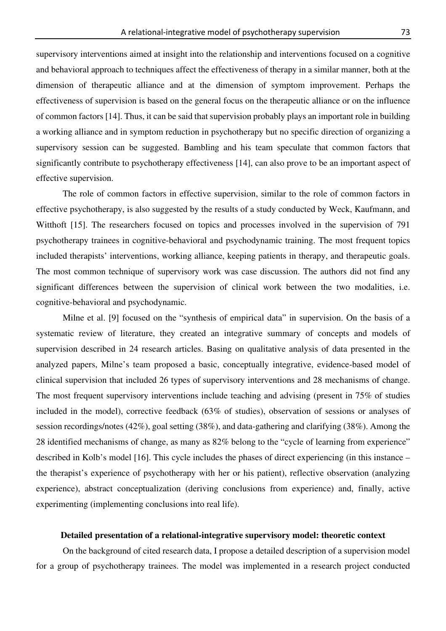supervisory interventions aimed at insight into the relationship and interventions focused on a cognitive and behavioral approach to techniques affect the effectiveness of therapy in a similar manner, both at the dimension of therapeutic alliance and at the dimension of symptom improvement. Perhaps the effectiveness of supervision is based on the general focus on the therapeutic alliance or on the influence of common factors [14]. Thus, it can be said that supervision probably plays an important role in building a working alliance and in symptom reduction in psychotherapy but no specific direction of organizing a supervisory session can be suggested. Bambling and his team speculate that common factors that significantly contribute to psychotherapy effectiveness [14], can also prove to be an important aspect of effective supervision.

 The role of common factors in effective supervision, similar to the role of common factors in effective psychotherapy, is also suggested by the results of a study conducted by Weck, Kaufmann, and Witthoft [15]. The researchers focused on topics and processes involved in the supervision of 791 psychotherapy trainees in cognitive-behavioral and psychodynamic training. The most frequent topics included therapists' interventions, working alliance, keeping patients in therapy, and therapeutic goals. The most common technique of supervisory work was case discussion. The authors did not find any significant differences between the supervision of clinical work between the two modalities, i.e. cognitive-behavioral and psychodynamic.

 Milne et al. [9] focused on the "synthesis of empirical data" in supervision. On the basis of a systematic review of literature, they created an integrative summary of concepts and models of supervision described in 24 research articles. Basing on qualitative analysis of data presented in the analyzed papers, Milne's team proposed a basic, conceptually integrative, evidence-based model of clinical supervision that included 26 types of supervisory interventions and 28 mechanisms of change. The most frequent supervisory interventions include teaching and advising (present in 75% of studies included in the model), corrective feedback (63% of studies), observation of sessions or analyses of session recordings/notes (42%), goal setting (38%), and data-gathering and clarifying (38%). Among the 28 identified mechanisms of change, as many as 82% belong to the "cycle of learning from experience" described in Kolb's model [16]. This cycle includes the phases of direct experiencing (in this instance – the therapist's experience of psychotherapy with her or his patient), reflective observation (analyzing experience), abstract conceptualization (deriving conclusions from experience) and, finally, active experimenting (implementing conclusions into real life).

# **Detailed presentation of a relational-integrative supervisory model: theoretic context**

 On the background of cited research data, I propose a detailed description of a supervision model for a group of psychotherapy trainees. The model was implemented in a research project conducted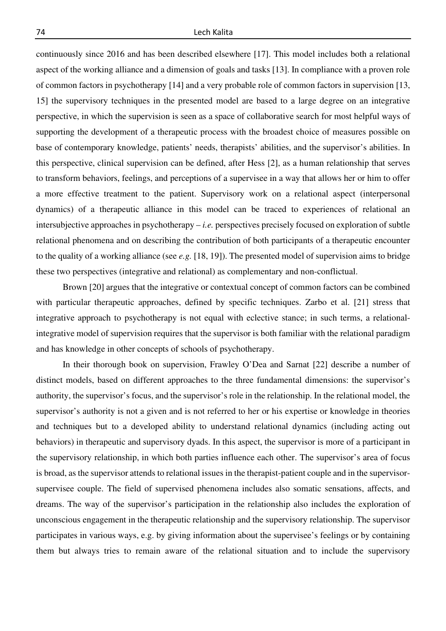continuously since 2016 and has been described elsewhere [17]. This model includes both a relational aspect of the working alliance and a dimension of goals and tasks [13]. In compliance with a proven role of common factors in psychotherapy [14] and a very probable role of common factors in supervision [13, 15] the supervisory techniques in the presented model are based to a large degree on an integrative perspective, in which the supervision is seen as a space of collaborative search for most helpful ways of supporting the development of a therapeutic process with the broadest choice of measures possible on base of contemporary knowledge, patients' needs, therapists' abilities, and the supervisor's abilities. In this perspective, clinical supervision can be defined, after Hess [2], as a human relationship that serves to transform behaviors, feelings, and perceptions of a supervisee in a way that allows her or him to offer a more effective treatment to the patient. Supervisory work on a relational aspect (interpersonal dynamics) of a therapeutic alliance in this model can be traced to experiences of relational an intersubjective approaches in psychotherapy – *i.e.* perspectives precisely focused on exploration of subtle relational phenomena and on describing the contribution of both participants of a therapeutic encounter to the quality of a working alliance (see *e.g.* [18, 19]). The presented model of supervision aims to bridge these two perspectives (integrative and relational) as complementary and non-conflictual.

Brown [20] argues that the integrative or contextual concept of common factors can be combined with particular therapeutic approaches, defined by specific techniques. Zarbo et al. [21] stress that integrative approach to psychotherapy is not equal with eclective stance; in such terms, a relationalintegrative model of supervision requires that the supervisor is both familiar with the relational paradigm and has knowledge in other concepts of schools of psychotherapy.

 In their thorough book on supervision, Frawley O'Dea and Sarnat [22] describe a number of distinct models, based on different approaches to the three fundamental dimensions: the supervisor's authority, the supervisor's focus, and the supervisor's role in the relationship. In the relational model, the supervisor's authority is not a given and is not referred to her or his expertise or knowledge in theories and techniques but to a developed ability to understand relational dynamics (including acting out behaviors) in therapeutic and supervisory dyads. In this aspect, the supervisor is more of a participant in the supervisory relationship, in which both parties influence each other. The supervisor's area of focus is broad, as the supervisor attends to relational issues in the therapist-patient couple and in the supervisorsupervisee couple. The field of supervised phenomena includes also somatic sensations, affects, and dreams. The way of the supervisor's participation in the relationship also includes the exploration of unconscious engagement in the therapeutic relationship and the supervisory relationship. The supervisor participates in various ways, e.g. by giving information about the supervisee's feelings or by containing them but always tries to remain aware of the relational situation and to include the supervisory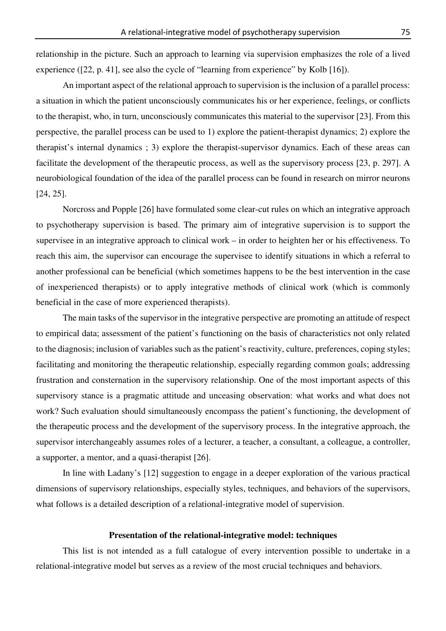relationship in the picture. Such an approach to learning via supervision emphasizes the role of a lived experience ([22, p. 41], see also the cycle of "learning from experience" by Kolb [16]).

 An important aspect of the relational approach to supervision is the inclusion of a parallel process: a situation in which the patient unconsciously communicates his or her experience, feelings, or conflicts to the therapist, who, in turn, unconsciously communicates this material to the supervisor [23]. From this perspective, the parallel process can be used to 1) explore the patient-therapist dynamics; 2) explore the therapist's internal dynamics ; 3) explore the therapist-supervisor dynamics. Each of these areas can facilitate the development of the therapeutic process, as well as the supervisory process [23, p. 297]. A neurobiological foundation of the idea of the parallel process can be found in research on mirror neurons [24, 25].

 Norcross and Popple [26] have formulated some clear-cut rules on which an integrative approach to psychotherapy supervision is based. The primary aim of integrative supervision is to support the supervisee in an integrative approach to clinical work – in order to heighten her or his effectiveness. To reach this aim, the supervisor can encourage the supervisee to identify situations in which a referral to another professional can be beneficial (which sometimes happens to be the best intervention in the case of inexperienced therapists) or to apply integrative methods of clinical work (which is commonly beneficial in the case of more experienced therapists).

 The main tasks of the supervisor in the integrative perspective are promoting an attitude of respect to empirical data; assessment of the patient's functioning on the basis of characteristics not only related to the diagnosis; inclusion of variables such as the patient's reactivity, culture, preferences, coping styles; facilitating and monitoring the therapeutic relationship, especially regarding common goals; addressing frustration and consternation in the supervisory relationship. One of the most important aspects of this supervisory stance is a pragmatic attitude and unceasing observation: what works and what does not work? Such evaluation should simultaneously encompass the patient's functioning, the development of the therapeutic process and the development of the supervisory process. In the integrative approach, the supervisor interchangeably assumes roles of a lecturer, a teacher, a consultant, a colleague, a controller, a supporter, a mentor, and a quasi-therapist [26].

 In line with Ladany's [12] suggestion to engage in a deeper exploration of the various practical dimensions of supervisory relationships, especially styles, techniques, and behaviors of the supervisors, what follows is a detailed description of a relational-integrative model of supervision.

## **Presentation of the relational-integrative model: techniques**

 This list is not intended as a full catalogue of every intervention possible to undertake in a relational-integrative model but serves as a review of the most crucial techniques and behaviors.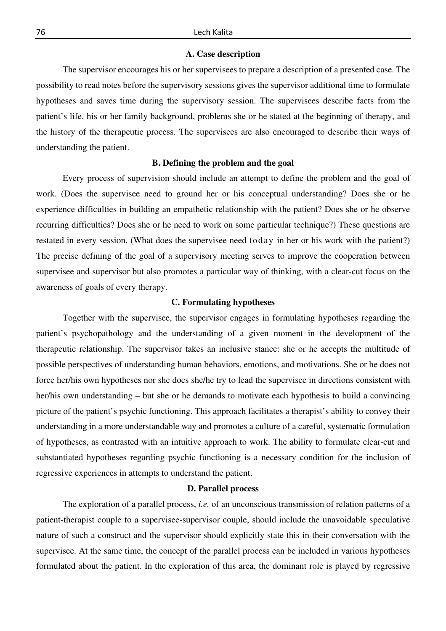## **A. Case description**

 The supervisor encourages his or her supervisees to prepare a description of a presented case. The possibility to read notes before the supervisory sessions gives the supervisor additional time to formulate hypotheses and saves time during the supervisory session. The supervisees describe facts from the patient's life, his or her family background, problems she or he stated at the beginning of therapy, and the history of the therapeutic process. The supervisees are also encouraged to describe their ways of understanding the patient.

#### **B. Defining the problem and the goal**

Every process of supervision should include an attempt to define the problem and the goal of work. (Does the supervisee need to ground her or his conceptual understanding? Does she or he experience difficulties in building an empathetic relationship with the patient? Does she or he observe recurring difficulties? Does she or he need to work on some particular technique?) These questions are restated in every session. (What does the supervisee need today in her or his work with the patient?) The precise defining of the goal of a supervisory meeting serves to improve the cooperation between supervisee and supervisor but also promotes a particular way of thinking, with a clear-cut focus on the awareness of goals of every therapy.

## **C. Formulating hypotheses**

 Together with the supervisee, the supervisor engages in formulating hypotheses regarding the patient's psychopathology and the understanding of a given moment in the development of the therapeutic relationship. The supervisor takes an inclusive stance: she or he accepts the multitude of possible perspectives of understanding human behaviors, emotions, and motivations. She or he does not force her/his own hypotheses nor she does she/he try to lead the supervisee in directions consistent with her/his own understanding – but she or he demands to motivate each hypothesis to build a convincing picture of the patient's psychic functioning. This approach facilitates a therapist's ability to convey their understanding in a more understandable way and promotes a culture of a careful, systematic formulation of hypotheses, as contrasted with an intuitive approach to work. The ability to formulate clear-cut and substantiated hypotheses regarding psychic functioning is a necessary condition for the inclusion of regressive experiences in attempts to understand the patient.

# **D. Parallel process**

 The exploration of a parallel process, *i.e.* of an unconscious transmission of relation patterns of a patient-therapist couple to a supervisee-supervisor couple, should include the unavoidable speculative nature of such a construct and the supervisor should explicitly state this in their conversation with the supervisee. At the same time, the concept of the parallel process can be included in various hypotheses formulated about the patient. In the exploration of this area, the dominant role is played by regressive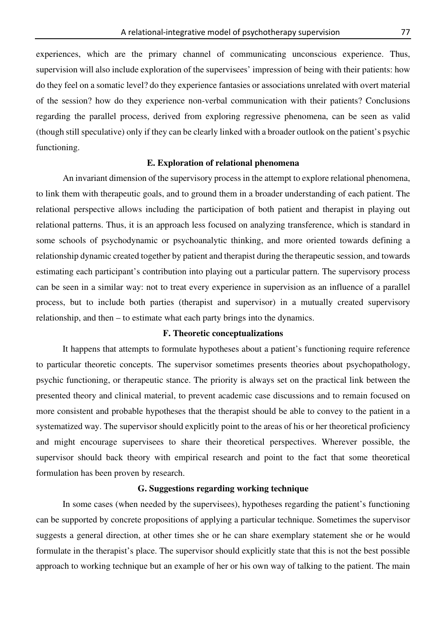experiences, which are the primary channel of communicating unconscious experience. Thus, supervision will also include exploration of the supervisees' impression of being with their patients: how do they feel on a somatic level? do they experience fantasies or associations unrelated with overt material of the session? how do they experience non-verbal communication with their patients? Conclusions regarding the parallel process, derived from exploring regressive phenomena, can be seen as valid (though still speculative) only if they can be clearly linked with a broader outlook on the patient's psychic functioning.

#### **E. Exploration of relational phenomena**

 An invariant dimension of the supervisory process in the attempt to explore relational phenomena, to link them with therapeutic goals, and to ground them in a broader understanding of each patient. The relational perspective allows including the participation of both patient and therapist in playing out relational patterns. Thus, it is an approach less focused on analyzing transference, which is standard in some schools of psychodynamic or psychoanalytic thinking, and more oriented towards defining a relationship dynamic created together by patient and therapist during the therapeutic session, and towards estimating each participant's contribution into playing out a particular pattern. The supervisory process can be seen in a similar way: not to treat every experience in supervision as an influence of a parallel process, but to include both parties (therapist and supervisor) in a mutually created supervisory relationship, and then – to estimate what each party brings into the dynamics.

# **F. Theoretic conceptualizations**

 It happens that attempts to formulate hypotheses about a patient's functioning require reference to particular theoretic concepts. The supervisor sometimes presents theories about psychopathology, psychic functioning, or therapeutic stance. The priority is always set on the practical link between the presented theory and clinical material, to prevent academic case discussions and to remain focused on more consistent and probable hypotheses that the therapist should be able to convey to the patient in a systematized way. The supervisor should explicitly point to the areas of his or her theoretical proficiency and might encourage supervisees to share their theoretical perspectives. Wherever possible, the supervisor should back theory with empirical research and point to the fact that some theoretical formulation has been proven by research.

# **G. Suggestions regarding working technique**

 In some cases (when needed by the supervisees), hypotheses regarding the patient's functioning can be supported by concrete propositions of applying a particular technique. Sometimes the supervisor suggests a general direction, at other times she or he can share exemplary statement she or he would formulate in the therapist's place. The supervisor should explicitly state that this is not the best possible approach to working technique but an example of her or his own way of talking to the patient. The main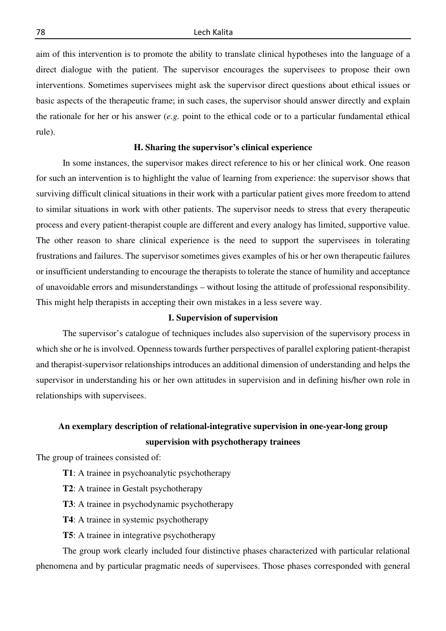aim of this intervention is to promote the ability to translate clinical hypotheses into the language of a direct dialogue with the patient. The supervisor encourages the supervisees to propose their own interventions. Sometimes supervisees might ask the supervisor direct questions about ethical issues or basic aspects of the therapeutic frame; in such cases, the supervisor should answer directly and explain the rationale for her or his answer (*e.g.* point to the ethical code or to a particular fundamental ethical rule).

#### **H. Sharing the supervisor's clinical experience**

 In some instances, the supervisor makes direct reference to his or her clinical work. One reason for such an intervention is to highlight the value of learning from experience: the supervisor shows that surviving difficult clinical situations in their work with a particular patient gives more freedom to attend to similar situations in work with other patients. The supervisor needs to stress that every therapeutic process and every patient-therapist couple are different and every analogy has limited, supportive value. The other reason to share clinical experience is the need to support the supervisees in tolerating frustrations and failures. The supervisor sometimes gives examples of his or her own therapeutic failures or insufficient understanding to encourage the therapists to tolerate the stance of humility and acceptance of unavoidable errors and misunderstandings – without losing the attitude of professional responsibility. This might help therapists in accepting their own mistakes in a less severe way.

#### **I. Supervision of supervision**

 The supervisor's catalogue of techniques includes also supervision of the supervisory process in which she or he is involved. Openness towards further perspectives of parallel exploring patient-therapist and therapist-supervisor relationships introduces an additional dimension of understanding and helps the supervisor in understanding his or her own attitudes in supervision and in defining his/her own role in relationships with supervisees.

# **An exemplary description of relational-integrative supervision in one-year-long group supervision with psychotherapy trainees**

The group of trainees consisted of:

- **T1**: A trainee in psychoanalytic psychotherapy
- **T2**: A trainee in Gestalt psychotherapy
- **T3**: A trainee in psychodynamic psychotherapy
- **T4**: A trainee in systemic psychotherapy
- **T5**: A trainee in integrative psychotherapy

 The group work clearly included four distinctive phases characterized with particular relational phenomena and by particular pragmatic needs of supervisees. Those phases corresponded with general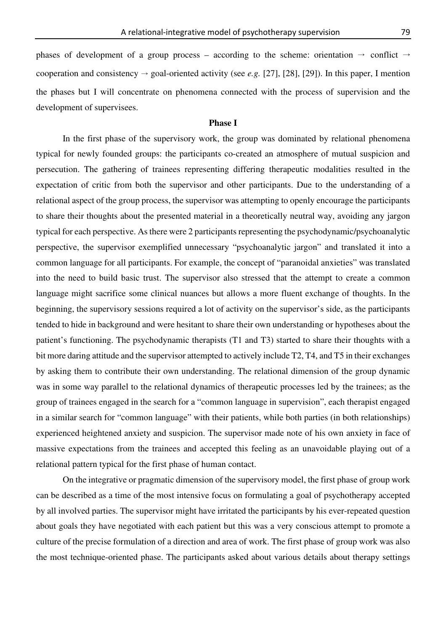phases of development of a group process – according to the scheme: orientation  $\rightarrow$  conflict  $\rightarrow$ cooperation and consistency  $\rightarrow$  goal-oriented activity (see *e.g.* [27], [28], [29]). In this paper, I mention the phases but I will concentrate on phenomena connected with the process of supervision and the development of supervisees.

# **Phase I**

 In the first phase of the supervisory work, the group was dominated by relational phenomena typical for newly founded groups: the participants co-created an atmosphere of mutual suspicion and persecution. The gathering of trainees representing differing therapeutic modalities resulted in the expectation of critic from both the supervisor and other participants. Due to the understanding of a relational aspect of the group process, the supervisor was attempting to openly encourage the participants to share their thoughts about the presented material in a theoretically neutral way, avoiding any jargon typical for each perspective. As there were 2 participants representing the psychodynamic/psychoanalytic perspective, the supervisor exemplified unnecessary "psychoanalytic jargon" and translated it into a common language for all participants. For example, the concept of "paranoidal anxieties" was translated into the need to build basic trust. The supervisor also stressed that the attempt to create a common language might sacrifice some clinical nuances but allows a more fluent exchange of thoughts. In the beginning, the supervisory sessions required a lot of activity on the supervisor's side, as the participants tended to hide in background and were hesitant to share their own understanding or hypotheses about the patient's functioning. The psychodynamic therapists (T1 and T3) started to share their thoughts with a bit more daring attitude and the supervisor attempted to actively include T2, T4, and T5 in their exchanges by asking them to contribute their own understanding. The relational dimension of the group dynamic was in some way parallel to the relational dynamics of therapeutic processes led by the trainees; as the group of trainees engaged in the search for a "common language in supervision", each therapist engaged in a similar search for "common language" with their patients, while both parties (in both relationships) experienced heightened anxiety and suspicion. The supervisor made note of his own anxiety in face of massive expectations from the trainees and accepted this feeling as an unavoidable playing out of a relational pattern typical for the first phase of human contact.

 On the integrative or pragmatic dimension of the supervisory model, the first phase of group work can be described as a time of the most intensive focus on formulating a goal of psychotherapy accepted by all involved parties. The supervisor might have irritated the participants by his ever-repeated question about goals they have negotiated with each patient but this was a very conscious attempt to promote a culture of the precise formulation of a direction and area of work. The first phase of group work was also the most technique-oriented phase. The participants asked about various details about therapy settings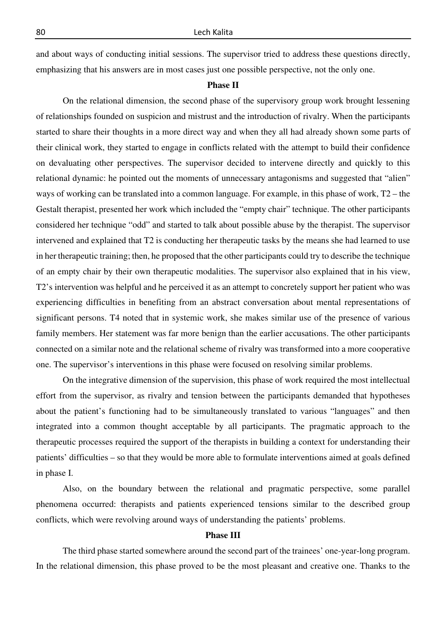and about ways of conducting initial sessions. The supervisor tried to address these questions directly, emphasizing that his answers are in most cases just one possible perspective, not the only one.

#### **Phase II**

 On the relational dimension, the second phase of the supervisory group work brought lessening of relationships founded on suspicion and mistrust and the introduction of rivalry. When the participants started to share their thoughts in a more direct way and when they all had already shown some parts of their clinical work, they started to engage in conflicts related with the attempt to build their confidence on devaluating other perspectives. The supervisor decided to intervene directly and quickly to this relational dynamic: he pointed out the moments of unnecessary antagonisms and suggested that "alien" ways of working can be translated into a common language. For example, in this phase of work, T2 – the Gestalt therapist, presented her work which included the "empty chair" technique. The other participants considered her technique "odd" and started to talk about possible abuse by the therapist. The supervisor intervened and explained that T2 is conducting her therapeutic tasks by the means she had learned to use in her therapeutic training; then, he proposed that the other participants could try to describe the technique of an empty chair by their own therapeutic modalities. The supervisor also explained that in his view, T2's intervention was helpful and he perceived it as an attempt to concretely support her patient who was experiencing difficulties in benefiting from an abstract conversation about mental representations of significant persons. T4 noted that in systemic work, she makes similar use of the presence of various family members. Her statement was far more benign than the earlier accusations. The other participants connected on a similar note and the relational scheme of rivalry was transformed into a more cooperative one. The supervisor's interventions in this phase were focused on resolving similar problems.

 On the integrative dimension of the supervision, this phase of work required the most intellectual effort from the supervisor, as rivalry and tension between the participants demanded that hypotheses about the patient's functioning had to be simultaneously translated to various "languages" and then integrated into a common thought acceptable by all participants. The pragmatic approach to the therapeutic processes required the support of the therapists in building a context for understanding their patients' difficulties – so that they would be more able to formulate interventions aimed at goals defined in phase I.

 Also, on the boundary between the relational and pragmatic perspective, some parallel phenomena occurred: therapists and patients experienced tensions similar to the described group conflicts, which were revolving around ways of understanding the patients' problems.

#### **Phase III**

 The third phase started somewhere around the second part of the trainees' one-year-long program. In the relational dimension, this phase proved to be the most pleasant and creative one. Thanks to the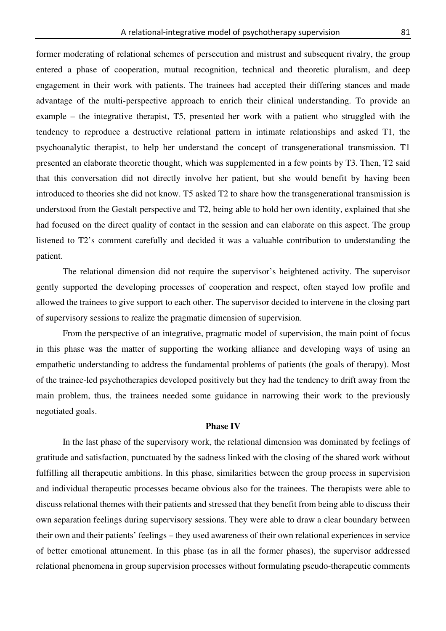former moderating of relational schemes of persecution and mistrust and subsequent rivalry, the group entered a phase of cooperation, mutual recognition, technical and theoretic pluralism, and deep engagement in their work with patients. The trainees had accepted their differing stances and made advantage of the multi-perspective approach to enrich their clinical understanding. To provide an example – the integrative therapist, T5, presented her work with a patient who struggled with the tendency to reproduce a destructive relational pattern in intimate relationships and asked T1, the psychoanalytic therapist, to help her understand the concept of transgenerational transmission. T1 presented an elaborate theoretic thought, which was supplemented in a few points by T3. Then, T2 said that this conversation did not directly involve her patient, but she would benefit by having been introduced to theories she did not know. T5 asked T2 to share how the transgenerational transmission is understood from the Gestalt perspective and T2, being able to hold her own identity, explained that she had focused on the direct quality of contact in the session and can elaborate on this aspect. The group listened to T2's comment carefully and decided it was a valuable contribution to understanding the patient.

 The relational dimension did not require the supervisor's heightened activity. The supervisor gently supported the developing processes of cooperation and respect, often stayed low profile and allowed the trainees to give support to each other. The supervisor decided to intervene in the closing part of supervisory sessions to realize the pragmatic dimension of supervision.

 From the perspective of an integrative, pragmatic model of supervision, the main point of focus in this phase was the matter of supporting the working alliance and developing ways of using an empathetic understanding to address the fundamental problems of patients (the goals of therapy). Most of the trainee-led psychotherapies developed positively but they had the tendency to drift away from the main problem, thus, the trainees needed some guidance in narrowing their work to the previously negotiated goals.

# **Phase IV**

 In the last phase of the supervisory work, the relational dimension was dominated by feelings of gratitude and satisfaction, punctuated by the sadness linked with the closing of the shared work without fulfilling all therapeutic ambitions. In this phase, similarities between the group process in supervision and individual therapeutic processes became obvious also for the trainees. The therapists were able to discuss relational themes with their patients and stressed that they benefit from being able to discuss their own separation feelings during supervisory sessions. They were able to draw a clear boundary between their own and their patients' feelings – they used awareness of their own relational experiences in service of better emotional attunement. In this phase (as in all the former phases), the supervisor addressed relational phenomena in group supervision processes without formulating pseudo-therapeutic comments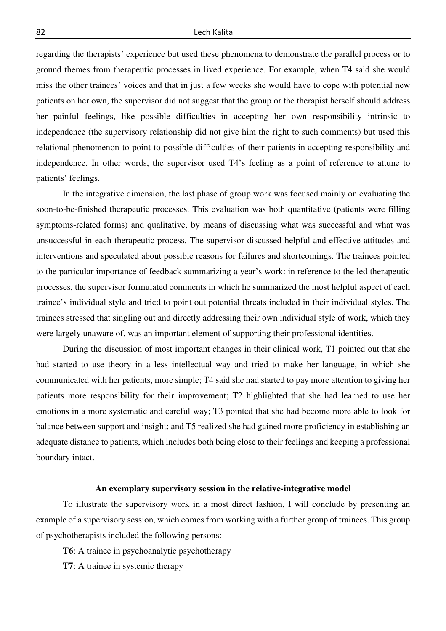regarding the therapists' experience but used these phenomena to demonstrate the parallel process or to ground themes from therapeutic processes in lived experience. For example, when T4 said she would miss the other trainees' voices and that in just a few weeks she would have to cope with potential new patients on her own, the supervisor did not suggest that the group or the therapist herself should address her painful feelings, like possible difficulties in accepting her own responsibility intrinsic to independence (the supervisory relationship did not give him the right to such comments) but used this relational phenomenon to point to possible difficulties of their patients in accepting responsibility and independence. In other words, the supervisor used T4's feeling as a point of reference to attune to patients' feelings.

 In the integrative dimension, the last phase of group work was focused mainly on evaluating the soon-to-be-finished therapeutic processes. This evaluation was both quantitative (patients were filling symptoms-related forms) and qualitative, by means of discussing what was successful and what was unsuccessful in each therapeutic process. The supervisor discussed helpful and effective attitudes and interventions and speculated about possible reasons for failures and shortcomings. The trainees pointed to the particular importance of feedback summarizing a year's work: in reference to the led therapeutic processes, the supervisor formulated comments in which he summarized the most helpful aspect of each trainee's individual style and tried to point out potential threats included in their individual styles. The trainees stressed that singling out and directly addressing their own individual style of work, which they were largely unaware of, was an important element of supporting their professional identities.

 During the discussion of most important changes in their clinical work, T1 pointed out that she had started to use theory in a less intellectual way and tried to make her language, in which she communicated with her patients, more simple; T4 said she had started to pay more attention to giving her patients more responsibility for their improvement; T2 highlighted that she had learned to use her emotions in a more systematic and careful way; T3 pointed that she had become more able to look for balance between support and insight; and T5 realized she had gained more proficiency in establishing an adequate distance to patients, which includes both being close to their feelings and keeping a professional boundary intact.

# **An exemplary supervisory session in the relative-integrative model**

 To illustrate the supervisory work in a most direct fashion, I will conclude by presenting an example of a supervisory session, which comes from working with a further group of trainees. This group of psychotherapists included the following persons:

**T6**: A trainee in psychoanalytic psychotherapy

**T7**: A trainee in systemic therapy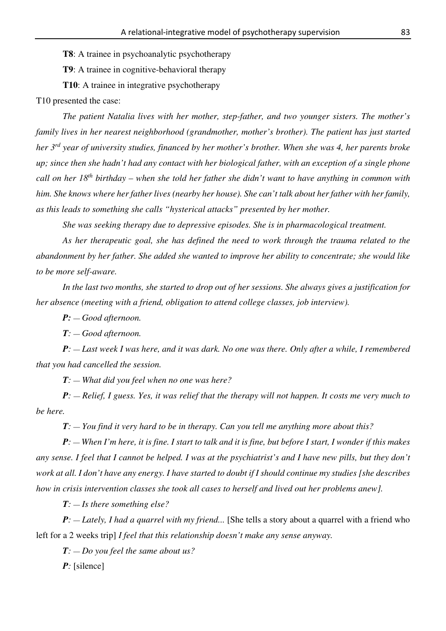**T8**: A trainee in psychoanalytic psychotherapy

**T9**: A trainee in cognitive-behavioral therapy

**T10**: A trainee in integrative psychotherapy

T10 presented the case:

*The patient Natalia lives with her mother, step-father, and two younger sisters. The mother's family lives in her nearest neighborhood (grandmother, mother's brother). The patient has just started her 3rd year of university studies, financed by her mother's brother. When she was 4, her parents broke up; since then she hadn't had any contact with her biological father, with an exception of a single phone call on her 18th birthday – when she told her father she didn't want to have anything in common with him. She knows where her father lives (nearby her house). She can't talk about her father with her family, as this leads to something she calls "hysterical attacks" presented by her mother.* 

 *She was seeking therapy due to depressive episodes. She is in pharmacological treatment.* 

*As her therapeutic goal, she has defined the need to work through the trauma related to the abandonment by her father. She added she wanted to improve her ability to concentrate; she would like to be more self-aware.* 

 *In the last two months, she started to drop out of her sessions. She always gives a justification for her absence (meeting with a friend, obligation to attend college classes, job interview).* 

*P: — Good afternoon.* 

*T: — Good afternoon.* 

*P: — Last week I was here, and it was dark. No one was there. Only after a while, I remembered that you had cancelled the session.* 

*T: — What did you feel when no one was here?* 

*P: — Relief, I guess. Yes, it was relief that the therapy will not happen. It costs me very much to be here.* 

*T: — You find it very hard to be in therapy. Can you tell me anything more about this?* 

*P: — When I'm here, it is fine. I start to talk and it is fine, but before I start, I wonder if this makes any sense. I feel that I cannot be helped. I was at the psychiatrist's and I have new pills, but they don't work at all. I don't have any energy. I have started to doubt if I should continue my studies [she describes how in crisis intervention classes she took all cases to herself and lived out her problems anew].* 

*T: — Is there something else?* 

*P*: — *Lately, I had a quarrel with my friend...* [She tells a story about a quarrel with a friend who left for a 2 weeks trip] *I feel that this relationship doesn't make any sense anyway.* 

*T: — Do you feel the same about us?*

*P:* [silence]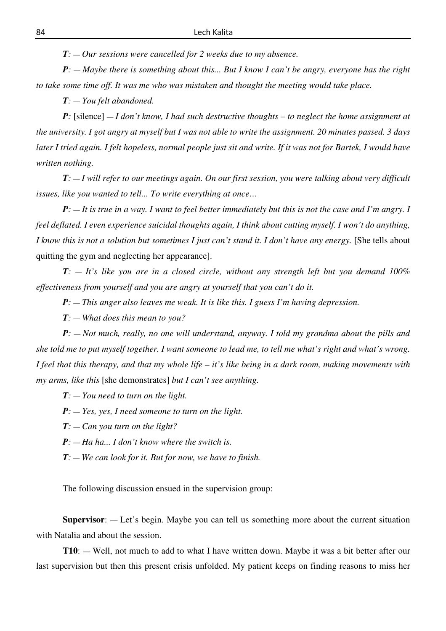*T: — Our sessions were cancelled for 2 weeks due to my absence.* 

*P*: — *Maybe there is something about this... But I know I can't be angry, everyone has the right to take some time off. It was me who was mistaken and thought the meeting would take place.* 

*T: — You felt abandoned.* 

*P*: [silence] — *I don't know, I had such destructive thoughts – to neglect the home assignment at the university. I got angry at myself but I was not able to write the assignment. 20 minutes passed. 3 days later I tried again. I felt hopeless, normal people just sit and write. If it was not for Bartek, I would have written nothing.* 

*T: — I will refer to our meetings again. On our first session, you were talking about very difficult issues, like you wanted to tell... To write everything at once…* 

*P: — It is true in a way. I want to feel better immediately but this is not the case and I'm angry. I feel deflated. I even experience suicidal thoughts again, I think about cutting myself. I won't do anything, I know this is not a solution but sometimes I just can't stand it. I don't have any energy.* [She tells about quitting the gym and neglecting her appearance].

*T: — It's like you are in a closed circle, without any strength left but you demand 100% effectiveness from yourself and you are angry at yourself that you can't do it.* 

*P*:  $-$  *This anger also leaves me weak. It is like this. I guess I'm having depression.* 

*T: — What does this mean to you?* 

*P: — Not much, really, no one will understand, anyway. I told my grandma about the pills and she told me to put myself together. I want someone to lead me, to tell me what's right and what's wrong. I feel that this therapy, and that my whole life – it's like being in a dark room, making movements with my arms, like this* [she demonstrates] *but I can't see anything.* 

*T: — You need to turn on the light.* 

*P: — Yes, yes, I need someone to turn on the light.* 

*T: — Can you turn on the light?* 

*P: — Ha ha... I don't know where the switch is.* 

*T: — We can look for it. But for now, we have to finish.*

The following discussion ensued in the supervision group:

**Supervisor**: — Let's begin. Maybe you can tell us something more about the current situation with Natalia and about the session.

**T10**: — Well, not much to add to what I have written down. Maybe it was a bit better after our last supervision but then this present crisis unfolded. My patient keeps on finding reasons to miss her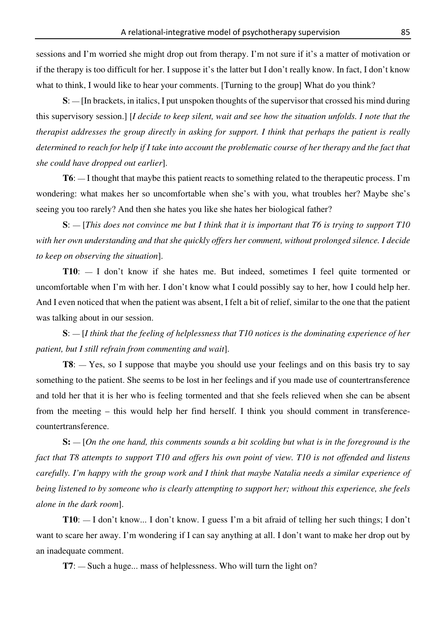sessions and I'm worried she might drop out from therapy. I'm not sure if it's a matter of motivation or if the therapy is too difficult for her. I suppose it's the latter but I don't really know. In fact, I don't know what to think, I would like to hear your comments. [Turning to the group] What do you think?

**S**: — [In brackets, in italics, I put unspoken thoughts of the supervisor that crossed his mind during this supervisory session.] [*I decide to keep silent, wait and see how the situation unfolds. I note that the therapist addresses the group directly in asking for support. I think that perhaps the patient is really determined to reach for help if I take into account the problematic course of her therapy and the fact that she could have dropped out earlier*].

**T6**: — I thought that maybe this patient reacts to something related to the therapeutic process. I'm wondering: what makes her so uncomfortable when she's with you, what troubles her? Maybe she's seeing you too rarely? And then she hates you like she hates her biological father?

**S**: — [*This does not convince me but I think that it is important that T6 is trying to support T10 with her own understanding and that she quickly offers her comment, without prolonged silence. I decide to keep on observing the situation*].

**T10**: — I don't know if she hates me. But indeed, sometimes I feel quite tormented or uncomfortable when I'm with her. I don't know what I could possibly say to her, how I could help her. And I even noticed that when the patient was absent, I felt a bit of relief, similar to the one that the patient was talking about in our session.

**S**: — [*I think that the feeling of helplessness that T10 notices is the dominating experience of her patient, but I still refrain from commenting and wait*].

**T8**: — Yes, so I suppose that maybe you should use your feelings and on this basis try to say something to the patient. She seems to be lost in her feelings and if you made use of countertransference and told her that it is her who is feeling tormented and that she feels relieved when she can be absent from the meeting – this would help her find herself. I think you should comment in transferencecountertransference.

**S:** — [*On the one hand, this comments sounds a bit scolding but what is in the foreground is the fact that T8 attempts to support T10 and offers his own point of view. T10 is not offended and listens carefully. I'm happy with the group work and I think that maybe Natalia needs a similar experience of being listened to by someone who is clearly attempting to support her; without this experience, she feels alone in the dark room*].

**T10**: — I don't know... I don't know. I guess I'm a bit afraid of telling her such things; I don't want to scare her away. I'm wondering if I can say anything at all. I don't want to make her drop out by an inadequate comment.

**T7**: — Such a huge... mass of helplessness. Who will turn the light on?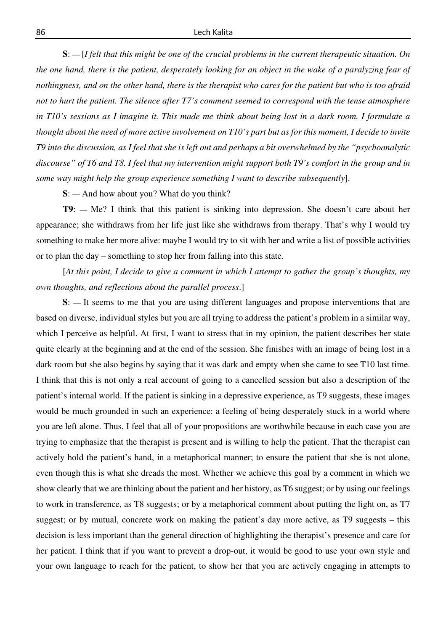**S**: — [*I felt that this might be one of the crucial problems in the current therapeutic situation. On the one hand, there is the patient, desperately looking for an object in the wake of a paralyzing fear of nothingness, and on the other hand, there is the therapist who cares for the patient but who is too afraid not to hurt the patient. The silence after T7's comment seemed to correspond with the tense atmosphere in T10's sessions as I imagine it. This made me think about being lost in a dark room. I formulate a thought about the need of more active involvement on T10's part but as for this moment, I decide to invite T9 into the discussion, as I feel that she is left out and perhaps a bit overwhelmed by the "psychoanalytic discourse" of T6 and T8. I feel that my intervention might support both T9's comfort in the group and in some way might help the group experience something I want to describe subsequently*].

**S**: — And how about you? What do you think?

**T9**: — Me? I think that this patient is sinking into depression. She doesn't care about her appearance; she withdraws from her life just like she withdraws from therapy. That's why I would try something to make her more alive: maybe I would try to sit with her and write a list of possible activities or to plan the day – something to stop her from falling into this state.

[*At this point, I decide to give a comment in which I attempt to gather the group's thoughts, my own thoughts, and reflections about the parallel process*.]

**S**: — It seems to me that you are using different languages and propose interventions that are based on diverse, individual styles but you are all trying to address the patient's problem in a similar way, which I perceive as helpful. At first, I want to stress that in my opinion, the patient describes her state quite clearly at the beginning and at the end of the session. She finishes with an image of being lost in a dark room but she also begins by saying that it was dark and empty when she came to see T10 last time. I think that this is not only a real account of going to a cancelled session but also a description of the patient's internal world. If the patient is sinking in a depressive experience, as T9 suggests, these images would be much grounded in such an experience: a feeling of being desperately stuck in a world where you are left alone. Thus, I feel that all of your propositions are worthwhile because in each case you are trying to emphasize that the therapist is present and is willing to help the patient. That the therapist can actively hold the patient's hand, in a metaphorical manner; to ensure the patient that she is not alone, even though this is what she dreads the most. Whether we achieve this goal by a comment in which we show clearly that we are thinking about the patient and her history, as T6 suggest; or by using our feelings to work in transference, as T8 suggests; or by a metaphorical comment about putting the light on, as T7 suggest; or by mutual, concrete work on making the patient's day more active, as T9 suggests – this decision is less important than the general direction of highlighting the therapist's presence and care for her patient. I think that if you want to prevent a drop-out, it would be good to use your own style and your own language to reach for the patient, to show her that you are actively engaging in attempts to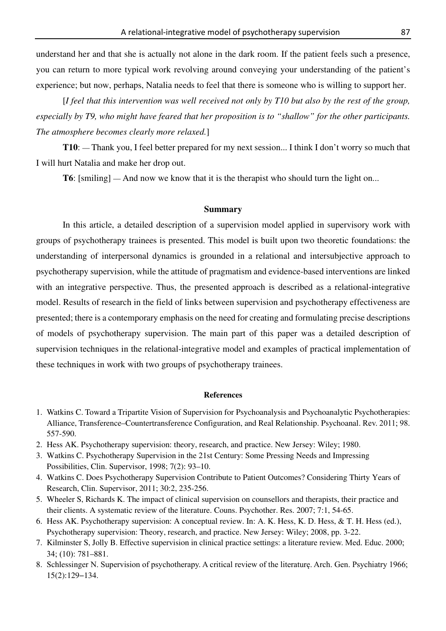understand her and that she is actually not alone in the dark room. If the patient feels such a presence, you can return to more typical work revolving around conveying your understanding of the patient's experience; but now, perhaps, Natalia needs to feel that there is someone who is willing to support her.

[*I feel that this intervention was well received not only by T10 but also by the rest of the group, especially by T9, who might have feared that her proposition is to "shallow" for the other participants. The atmosphere becomes clearly more relaxed.*]

**T10**: — Thank you, I feel better prepared for my next session... I think I don't worry so much that I will hurt Natalia and make her drop out.

**T6**: [smiling] — And now we know that it is the therapist who should turn the light on...

# **Summary**

 In this article, a detailed description of a supervision model applied in supervisory work with groups of psychotherapy trainees is presented. This model is built upon two theoretic foundations: the understanding of interpersonal dynamics is grounded in a relational and intersubjective approach to psychotherapy supervision, while the attitude of pragmatism and evidence-based interventions are linked with an integrative perspective. Thus, the presented approach is described as a relational-integrative model. Results of research in the field of links between supervision and psychotherapy effectiveness are presented; there is a contemporary emphasis on the need for creating and formulating precise descriptions of models of psychotherapy supervision. The main part of this paper was a detailed description of supervision techniques in the relational-integrative model and examples of practical implementation of these techniques in work with two groups of psychotherapy trainees.

#### **References**

- 1. Watkins C. Toward a Tripartite Vision of Supervision for Psychoanalysis and Psychoanalytic Psychotherapies: Alliance, Transference–Countertransference Configuration, and Real Relationship. Psychoanal. Rev. 2011; 98. 557-590.
- 2. Hess AK. Psychotherapy supervision: theory, research, and practice. New Jersey: Wiley; 1980.
- 3. Watkins C. Psychotherapy Supervision in the 21st Century: Some Pressing Needs and Impressing Possibilities, Clin. Supervisor, 1998; 7(2): 93–10.
- 4. Watkins C. Does Psychotherapy Supervision Contribute to Patient Outcomes? Considering Thirty Years of Research, Clin. Supervisor, 2011; 30:2, 235-256.
- 5. Wheeler S, Richards K. The impact of clinical supervision on counsellors and therapists, their practice and their clients. A systematic review of the literature. Couns. Psychother. Res. 2007; 7:1, 54-65.
- 6. Hess AK. Psychotherapy supervision: A conceptual review. In: A. K. Hess, K. D. Hess, & T. H. Hess (ed.), Psychotherapy supervision: Theory, research, and practice. New Jersey: Wiley; 2008, pp. 3-22.
- 7. Kilminster S, Jolly B. Effective supervision in clinical practice settings: a literature review. Med. Educ. 2000; 34; (10): 781–881.
- 8. Schlessinger N. Supervision of psychotherapy. A critical review of the literaturę. Arch. Gen. Psychiatry 1966; 15(2):129−134.